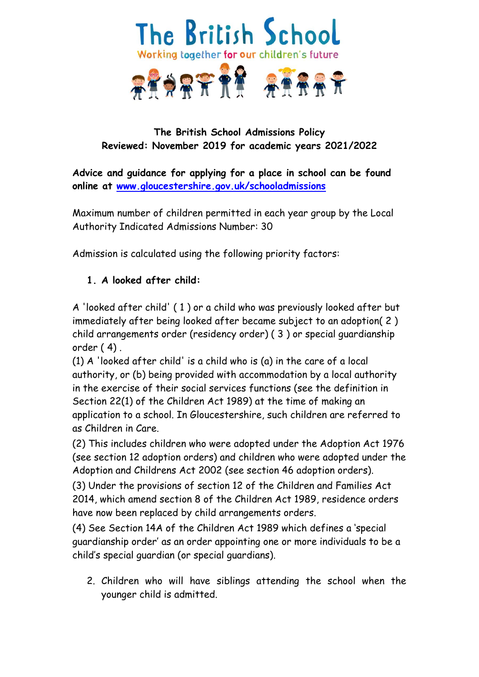

# **The British School Admissions Policy Reviewed: November 2019 for academic years 2021/2022**

**Advice and guidance for applying for a place in school can be found online at [www.gloucestershire.gov.uk/schooladmissions](http://www.gloucestershire.gov.uk/schooladmissions)**

Maximum number of children permitted in each year group by the Local Authority Indicated Admissions Number: 30

Admission is calculated using the following priority factors:

# **1. A looked after child:**

A 'looked after child' ( 1 ) or a child who was previously looked after but immediately after being looked after became subject to an adoption( 2 ) child arrangements order (residency order) ( 3 ) or special guardianship order ( 4) .

(1) A 'looked after child' is a child who is (a) in the care of a local authority, or (b) being provided with accommodation by a local authority in the exercise of their social services functions (see the definition in Section 22(1) of the Children Act 1989) at the time of making an application to a school. In Gloucestershire, such children are referred to as Children in Care.

(2) This includes children who were adopted under the Adoption Act 1976 (see section 12 adoption orders) and children who were adopted under the Adoption and Childrens Act 2002 (see section 46 adoption orders).

(3) Under the provisions of section 12 of the Children and Families Act 2014, which amend section 8 of the Children Act 1989, residence orders have now been replaced by child arrangements orders.

(4) See Section 14A of the Children Act 1989 which defines a 'special guardianship order' as an order appointing one or more individuals to be a child's special guardian (or special guardians).

2. Children who will have siblings attending the school when the younger child is admitted.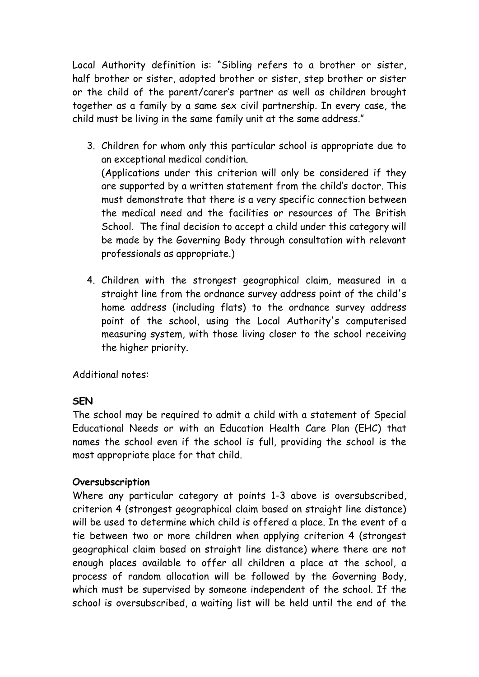Local Authority definition is: "Sibling refers to a brother or sister, half brother or sister, adopted brother or sister, step brother or sister or the child of the parent/carer's partner as well as children brought together as a family by a same sex civil partnership. In every case, the child must be living in the same family unit at the same address."

- 3. Children for whom only this particular school is appropriate due to an exceptional medical condition. (Applications under this criterion will only be considered if they are supported by a written statement from the child's doctor. This must demonstrate that there is a very specific connection between the medical need and the facilities or resources of The British School. The final decision to accept a child under this category will be made by the Governing Body through consultation with relevant professionals as appropriate.)
- 4. Children with the strongest geographical claim, measured in a straight line from the ordnance survey address point of the child's home address (including flats) to the ordnance survey address point of the school, using the Local Authority's computerised measuring system, with those living closer to the school receiving the higher priority.

Additional notes:

# **SEN**

The school may be required to admit a child with a statement of Special Educational Needs or with an Education Health Care Plan (EHC) that names the school even if the school is full, providing the school is the most appropriate place for that child.

#### **Oversubscription**

Where any particular category at points 1-3 above is oversubscribed, criterion 4 (strongest geographical claim based on straight line distance) will be used to determine which child is offered a place. In the event of a tie between two or more children when applying criterion 4 (strongest geographical claim based on straight line distance) where there are not enough places available to offer all children a place at the school, a process of random allocation will be followed by the Governing Body, which must be supervised by someone independent of the school. If the school is oversubscribed, a waiting list will be held until the end of the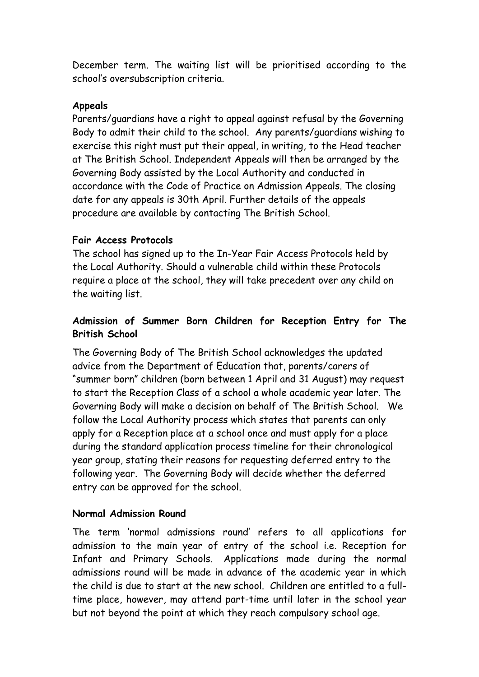December term. The waiting list will be prioritised according to the school's oversubscription criteria.

### **Appeals**

Parents/guardians have a right to appeal against refusal by the Governing Body to admit their child to the school. Any parents/guardians wishing to exercise this right must put their appeal, in writing, to the Head teacher at The British School. Independent Appeals will then be arranged by the Governing Body assisted by the Local Authority and conducted in accordance with the Code of Practice on Admission Appeals. The closing date for any appeals is 30th April. Further details of the appeals procedure are available by contacting The British School.

### **Fair Access Protocols**

The school has signed up to the In-Year Fair Access Protocols held by the Local Authority. Should a vulnerable child within these Protocols require a place at the school, they will take precedent over any child on the waiting list.

# **Admission of Summer Born Children for Reception Entry for The British School**

The Governing Body of The British School acknowledges the updated advice from the Department of Education that, parents/carers of "summer born" children (born between 1 April and 31 August) may request to start the Reception Class of a school a whole academic year later. The Governing Body will make a decision on behalf of The British School. We follow the Local Authority process which states that parents can only apply for a Reception place at a school once and must apply for a place during the standard application process timeline for their chronological year group, stating their reasons for requesting deferred entry to the following year. The Governing Body will decide whether the deferred entry can be approved for the school.

# **Normal Admission Round**

The term 'normal admissions round' refers to all applications for admission to the main year of entry of the school i.e. Reception for Infant and Primary Schools. Applications made during the normal admissions round will be made in advance of the academic year in which the child is due to start at the new school. Children are entitled to a fulltime place, however, may attend part-time until later in the school year but not beyond the point at which they reach compulsory school age.